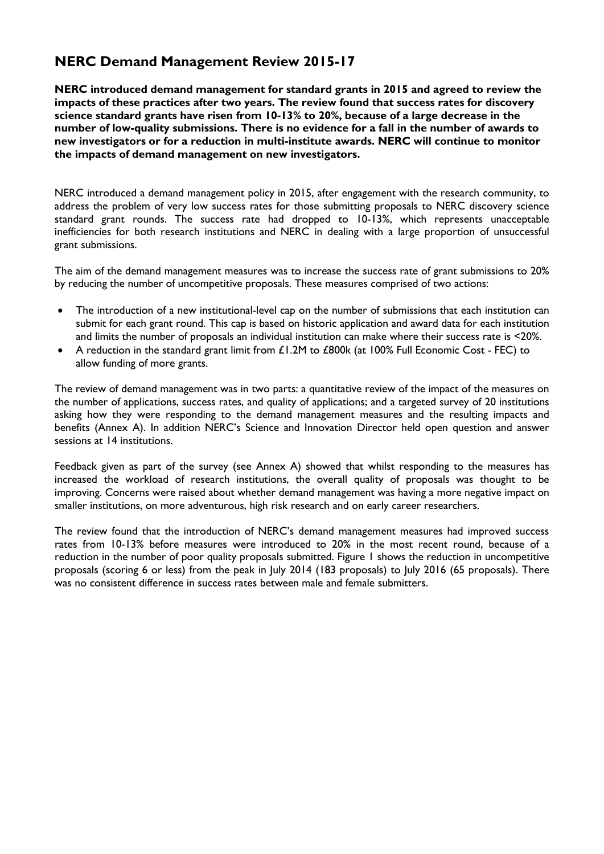# **NERC Demand Management Review 2015-17**

**NERC introduced demand management for standard grants in 2015 and agreed to review the impacts of these practices after two years. The review found that success rates for discovery science standard grants have risen from 10-13% to 20%, because of a large decrease in the number of low-quality submissions. There is no evidence for a fall in the number of awards to new investigators or for a reduction in multi-institute awards. NERC will continue to monitor the impacts of demand management on new investigators.**

NERC introduced a demand management policy in 2015, after engagement with the research community, to address the problem of very low success rates for those submitting proposals to NERC discovery science standard grant rounds. The success rate had dropped to 10-13%, which represents unacceptable inefficiencies for both research institutions and NERC in dealing with a large proportion of unsuccessful grant submissions.

The aim of the demand management measures was to increase the success rate of grant submissions to 20% by reducing the number of uncompetitive proposals. These measures comprised of two actions:

- The introduction of a new institutional-level cap on the number of submissions that each institution can submit for each grant round. This cap is based on historic application and award data for each institution and limits the number of proposals an individual institution can make where their success rate is <20%.
- A reduction in the standard grant limit from £1.2M to £800k (at 100% Full Economic Cost FEC) to allow funding of more grants.

The review of demand management was in two parts: a quantitative review of the impact of the measures on the number of applications, success rates, and quality of applications; and a targeted survey of 20 institutions asking how they were responding to the demand management measures and the resulting impacts and benefits (Annex A). In addition NERC's Science and Innovation Director held open question and answer sessions at 14 institutions.

Feedback given as part of the survey (see Annex A) showed that whilst responding to the measures has increased the workload of research institutions, the overall quality of proposals was thought to be improving. Concerns were raised about whether demand management was having a more negative impact on smaller institutions, on more adventurous, high risk research and on early career researchers.

The review found that the introduction of NERC's demand management measures had improved success rates from 10-13% before measures were introduced to 20% in the most recent round, because of a reduction in the number of poor quality proposals submitted. Figure 1 shows the reduction in uncompetitive proposals (scoring 6 or less) from the peak in July 2014 (183 proposals) to July 2016 (65 proposals). There was no consistent difference in success rates between male and female submitters.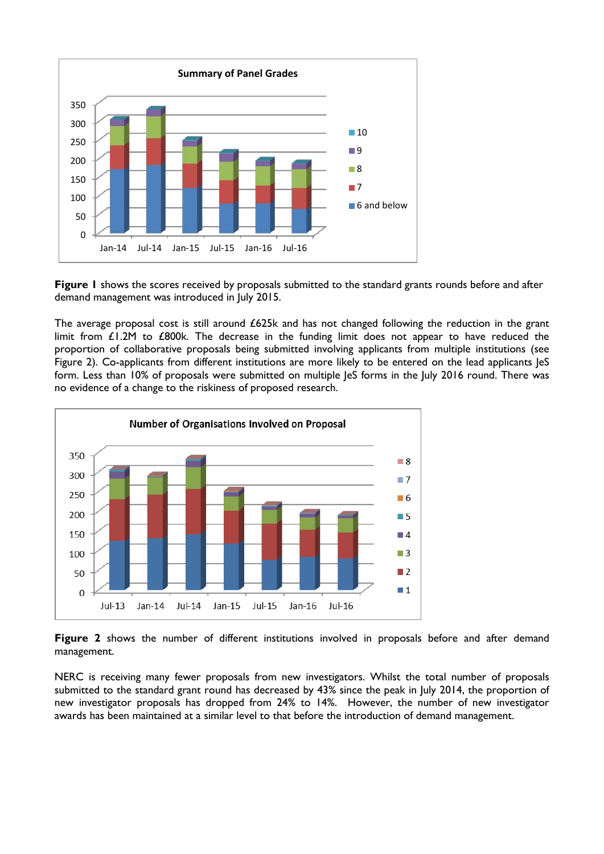

**Figure 1** shows the scores received by proposals submitted to the standard grants rounds before and after demand management was introduced in July 2015.

The average proposal cost is still around £625k and has not changed following the reduction in the grant limit from  $£1.2M$  to £800k. The decrease in the funding limit does not appear to have reduced the proportion of collaborative proposals being submitted involving applicants from multiple institutions (see Figure 2). Co-applicants from different institutions are more likely to be entered on the lead applicants leS form. Less than 10% of proposals were submitted on multiple JeS forms in the July 2016 round. There was no evidence of a change to the riskiness of proposed research.



**Figure 2** shows the number of different institutions involved in proposals before and after demand management.

NERC is receiving many fewer proposals from new investigators. Whilst the total number of proposals submitted to the standard grant round has decreased by 43% since the peak in July 2014, the proportion of new investigator proposals has dropped from 24% to 14%. However, the number of new investigator awards has been maintained at a similar level to that before the introduction of demand management.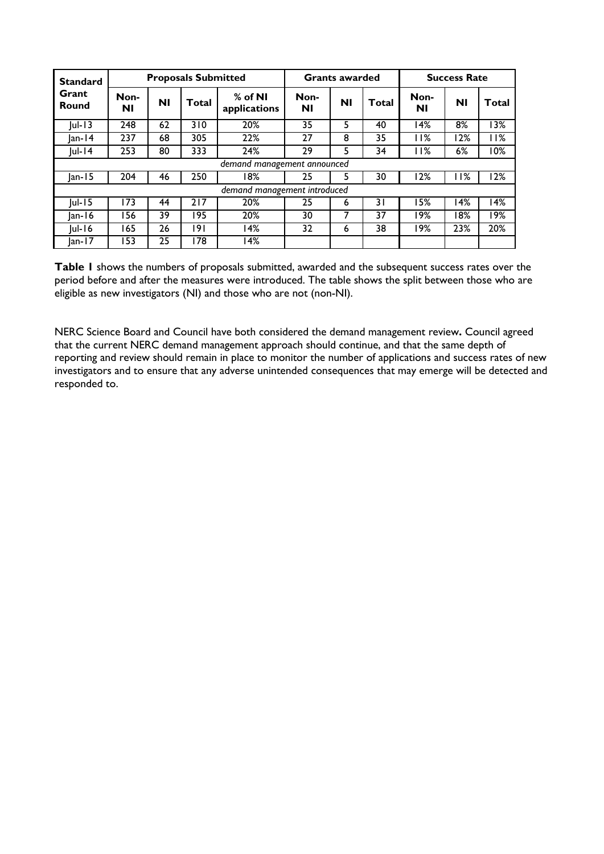| <b>Standard</b><br>Grant<br>Round | <b>Proposals Submitted</b> |    |       |                              | <b>Grants awarded</b> |    |       | <b>Success Rate</b> |      |                   |
|-----------------------------------|----------------------------|----|-------|------------------------------|-----------------------|----|-------|---------------------|------|-------------------|
|                                   | Non-<br>Νl                 | ΝI | Total | $%$ of NI<br>applications    | Non-<br>ΝI            | ΝI | Total | Non-<br>ΝI          | ΝI   | Total             |
| $ ul-13$                          | 248                        | 62 | 310   | 20%                          | 35                    | 5  | 40    | 14%                 | 8%   | 13%               |
| $ an-14 $                         | 237                        | 68 | 305   | 22%                          | 27                    | 8  | 35    | I I %               | l 2% | <b>11%</b>        |
| $ ul-14$                          | 253                        | 80 | 333   | 24%                          | 29                    | 5  | 34    | l I%                | 6%   | 10%               |
| demand management announced       |                            |    |       |                              |                       |    |       |                     |      |                   |
| $ an-15 $                         | 204                        | 46 | 250   | 18%                          | 25                    | 5  | 30    | 12%                 | 11%  | 12%               |
|                                   |                            |    |       | demand management introduced |                       |    |       |                     |      |                   |
| $ ul-15 $                         | 173                        | 44 | 217   | 20%                          | 25                    | 6  | 31    | 15%                 | 14%  | $\overline{14\%}$ |
| $ an-16 $                         | l 56                       | 39 | 195   | 20%                          | 30                    |    | 37    | 19%                 | 18%  | $\overline{19\%}$ |
| $ ul-16$                          | '65                        | 26 | 191   | 14%                          | 32                    | 6  | 38    | 19%                 | 23%  | 20%               |
| $ an-17 $                         | 153                        | 25 | 178   | 14%                          |                       |    |       |                     |      |                   |

**Table 1** shows the numbers of proposals submitted, awarded and the subsequent success rates over the period before and after the measures were introduced. The table shows the split between those who are eligible as new investigators (NI) and those who are not (non-NI).

NERC Science Board and Council have both considered the demand management review**.** Council agreed that the current NERC demand management approach should continue, and that the same depth of reporting and review should remain in place to monitor the number of applications and success rates of new investigators and to ensure that any adverse unintended consequences that may emerge will be detected and responded to.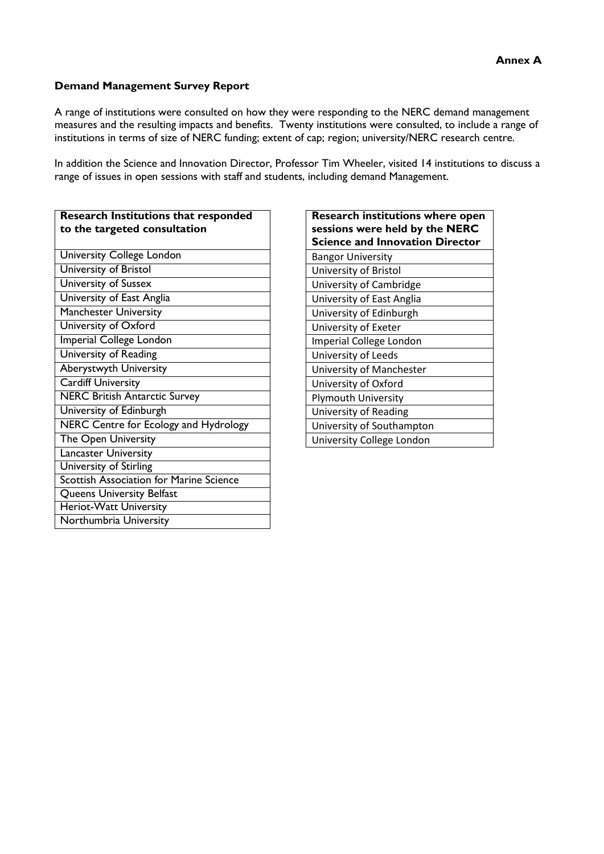#### **Demand Management Survey Report**

A range of institutions were consulted on how they were responding to the NERC demand management measures and the resulting impacts and benefits. Twenty institutions were consulted, to include a range of institutions in terms of size of NERC funding; extent of cap; region; university/NERC research centre.

In addition the Science and Innovation Director, Professor Tim Wheeler, visited 14 institutions to discuss a range of issues in open sessions with staff and students, including demand Management.

| <b>Research Institutions that responded</b><br>to the targeted consultation | <b>Research institutions w</b><br>sessions were held by th<br><b>Science and Innovation</b> |
|-----------------------------------------------------------------------------|---------------------------------------------------------------------------------------------|
| <b>University College London</b>                                            | <b>Bangor University</b>                                                                    |
| University of Bristol                                                       | University of Bristol                                                                       |
| <b>University of Sussex</b>                                                 | University of Cambridge                                                                     |
| University of East Anglia                                                   | University of East Anglia                                                                   |
| <b>Manchester University</b>                                                | University of Edinburgh                                                                     |
| University of Oxford                                                        | University of Exeter                                                                        |
| Imperial College London                                                     | Imperial College London                                                                     |
| University of Reading                                                       | University of Leeds                                                                         |
| Aberystwyth University                                                      | University of Manchester                                                                    |
| <b>Cardiff University</b>                                                   | University of Oxford                                                                        |
| <b>NERC British Antarctic Survey</b>                                        | <b>Plymouth University</b>                                                                  |
| University of Edinburgh                                                     | University of Reading                                                                       |
| NERC Centre for Ecology and Hydrology                                       | University of Southampton                                                                   |
| The Open University                                                         | University College London                                                                   |
| <b>Lancaster University</b>                                                 |                                                                                             |
| University of Stirling                                                      |                                                                                             |
| <b>Scottish Association for Marine Science</b>                              |                                                                                             |
| Queens University Belfast                                                   |                                                                                             |
| Heriot-Watt University                                                      |                                                                                             |
| Northumbria University                                                      |                                                                                             |

| <b>Research institutions where open</b><br>sessions were held by the NERC<br><b>Science and Innovation Director</b> |
|---------------------------------------------------------------------------------------------------------------------|
| <b>Bangor University</b>                                                                                            |
| University of Bristol                                                                                               |
| University of Cambridge                                                                                             |
| University of East Anglia                                                                                           |
| University of Edinburgh                                                                                             |
| University of Exeter                                                                                                |
| Imperial College London                                                                                             |
| University of Leeds                                                                                                 |
| University of Manchester                                                                                            |
| University of Oxford                                                                                                |
| Plymouth University                                                                                                 |
| University of Reading                                                                                               |
| University of Southampton                                                                                           |
| University College London                                                                                           |
|                                                                                                                     |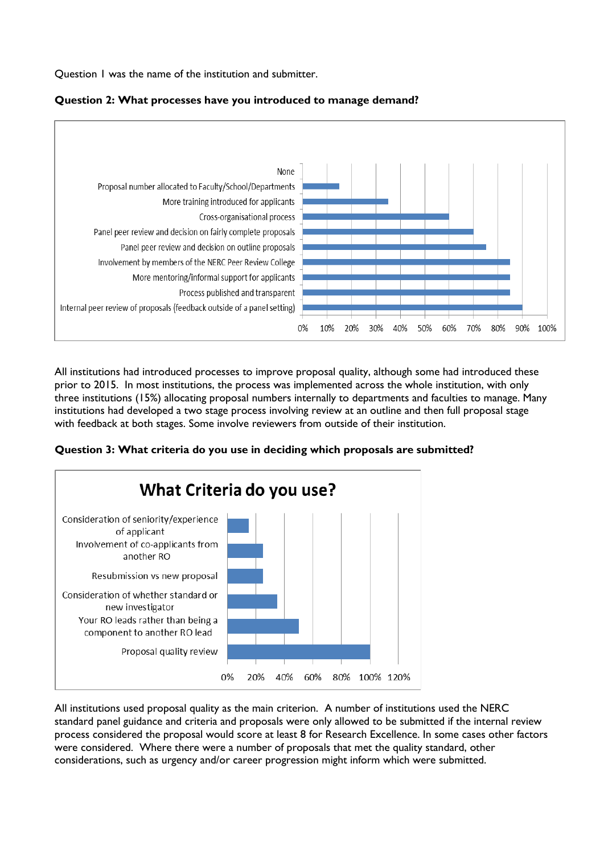Question 1 was the name of the institution and submitter.



### **Question 2: What processes have you introduced to manage demand?**

All institutions had introduced processes to improve proposal quality, although some had introduced these prior to 2015. In most institutions, the process was implemented across the whole institution, with only three institutions (15%) allocating proposal numbers internally to departments and faculties to manage. Many institutions had developed a two stage process involving review at an outline and then full proposal stage with feedback at both stages. Some involve reviewers from outside of their institution.





All institutions used proposal quality as the main criterion. A number of institutions used the NERC standard panel guidance and criteria and proposals were only allowed to be submitted if the internal review process considered the proposal would score at least 8 for Research Excellence. In some cases other factors were considered. Where there were a number of proposals that met the quality standard, other considerations, such as urgency and/or career progression might inform which were submitted.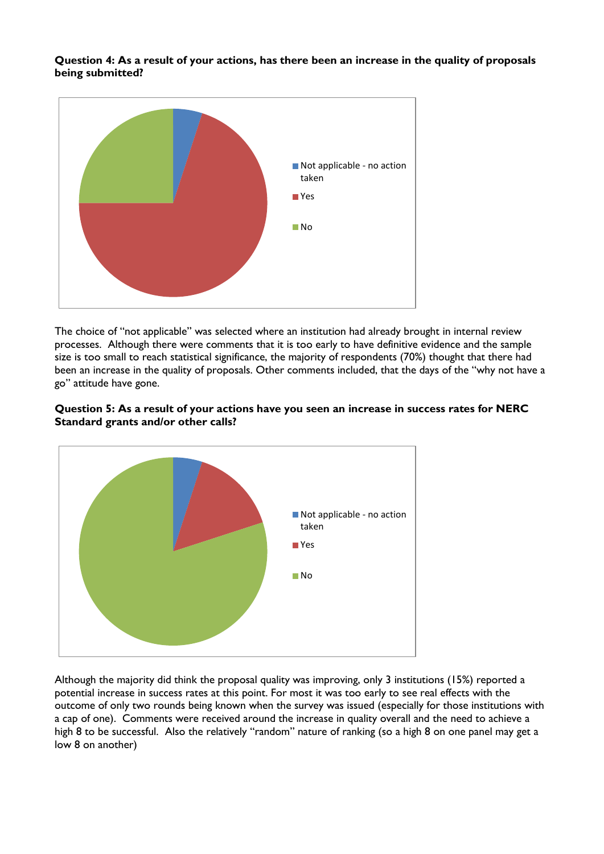**Question 4: As a result of your actions, has there been an increase in the quality of proposals being submitted?**



The choice of "not applicable" was selected where an institution had already brought in internal review processes. Although there were comments that it is too early to have definitive evidence and the sample size is too small to reach statistical significance, the majority of respondents (70%) thought that there had been an increase in the quality of proposals. Other comments included, that the days of the "why not have a go" attitude have gone.

#### **Question 5: As a result of your actions have you seen an increase in success rates for NERC Standard grants and/or other calls?**



Although the majority did think the proposal quality was improving, only 3 institutions (15%) reported a potential increase in success rates at this point. For most it was too early to see real effects with the outcome of only two rounds being known when the survey was issued (especially for those institutions with a cap of one). Comments were received around the increase in quality overall and the need to achieve a high 8 to be successful. Also the relatively "random" nature of ranking (so a high 8 on one panel may get a low 8 on another)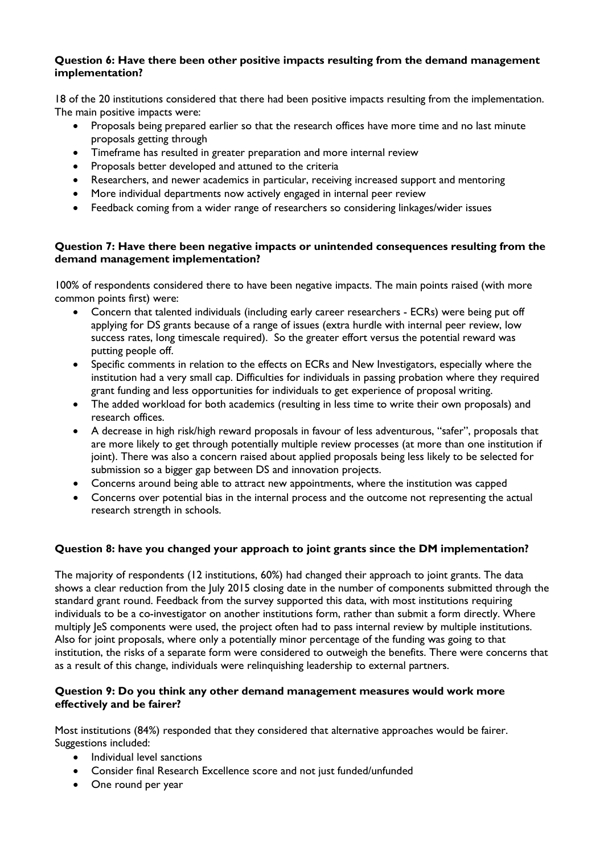#### **Question 6: Have there been other positive impacts resulting from the demand management implementation?**

18 of the 20 institutions considered that there had been positive impacts resulting from the implementation. The main positive impacts were:

- Proposals being prepared earlier so that the research offices have more time and no last minute proposals getting through
- Timeframe has resulted in greater preparation and more internal review
- Proposals better developed and attuned to the criteria
- Researchers, and newer academics in particular, receiving increased support and mentoring
- More individual departments now actively engaged in internal peer review
- Feedback coming from a wider range of researchers so considering linkages/wider issues

## **Question 7: Have there been negative impacts or unintended consequences resulting from the demand management implementation?**

100% of respondents considered there to have been negative impacts. The main points raised (with more common points first) were:

- Concern that talented individuals (including early career researchers ECRs) were being put off applying for DS grants because of a range of issues (extra hurdle with internal peer review, low success rates, long timescale required). So the greater effort versus the potential reward was putting people off.
- Specific comments in relation to the effects on ECRs and New Investigators, especially where the institution had a very small cap. Difficulties for individuals in passing probation where they required grant funding and less opportunities for individuals to get experience of proposal writing.
- The added workload for both academics (resulting in less time to write their own proposals) and research offices.
- A decrease in high risk/high reward proposals in favour of less adventurous, "safer", proposals that are more likely to get through potentially multiple review processes (at more than one institution if joint). There was also a concern raised about applied proposals being less likely to be selected for submission so a bigger gap between DS and innovation projects.
- Concerns around being able to attract new appointments, where the institution was capped
- Concerns over potential bias in the internal process and the outcome not representing the actual research strength in schools.

# **Question 8: have you changed your approach to joint grants since the DM implementation?**

The majority of respondents (12 institutions, 60%) had changed their approach to joint grants. The data shows a clear reduction from the July 2015 closing date in the number of components submitted through the standard grant round. Feedback from the survey supported this data, with most institutions requiring individuals to be a co-investigator on another institutions form, rather than submit a form directly. Where multiply JeS components were used, the project often had to pass internal review by multiple institutions. Also for joint proposals, where only a potentially minor percentage of the funding was going to that institution, the risks of a separate form were considered to outweigh the benefits. There were concerns that as a result of this change, individuals were relinquishing leadership to external partners.

### **Question 9: Do you think any other demand management measures would work more effectively and be fairer?**

Most institutions (84%) responded that they considered that alternative approaches would be fairer. Suggestions included:

- Individual level sanctions
- Consider final Research Excellence score and not just funded/unfunded
- One round per year